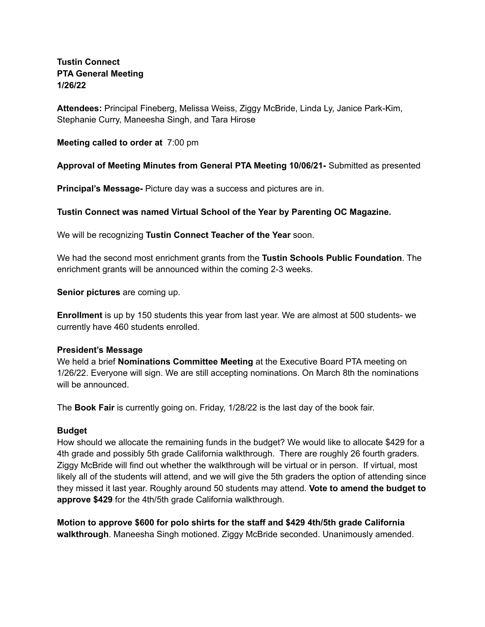**Attendees:** Principal Fineberg, Melissa Weiss, Ziggy McBride, Linda Ly, Janice Park-Kim, Stephanie Curry, Maneesha Singh, and Tara Hirose

**Meeting called to order at** 7:00 pm

**Approval of Meeting Minutes from General PTA Meeting 10/06/21-** Submitted as presented

**Principal's Message-** Picture day was a success and pictures are in.

# **Tustin Connect was named Virtual School of the Year by Parenting OC Magazine.**

We will be recognizing **Tustin Connect Teacher of the Year** soon.

We had the second most enrichment grants from the **Tustin Schools Public Foundation**. The enrichment grants will be announced within the coming 2-3 weeks.

**Senior pictures** are coming up.

**Enrollment** is up by 150 students this year from last year. We are almost at 500 students- we currently have 460 students enrolled.

## **President's Message**

We held a brief **Nominations Committee Meeting** at the Executive Board PTA meeting on 1/26/22. Everyone will sign. We are still accepting nominations. On March 8th the nominations will be announced.

The **Book Fair** is currently going on. Friday, 1/28/22 is the last day of the book fair.

## **Budget**

How should we allocate the remaining funds in the budget? We would like to allocate \$429 for a 4th grade and possibly 5th grade California walkthrough. There are roughly 26 fourth graders. Ziggy McBride will find out whether the walkthrough will be virtual or in person. If virtual, most likely all of the students will attend, and we will give the 5th graders the option of attending since they missed it last year. Roughly around 50 students may attend. **Vote to amend the budget to approve \$429** for the 4th/5th grade California walkthrough.

**Motion to approve \$600 for polo shirts for the staff and \$429 4th/5th grade California walkthrough**. Maneesha Singh motioned. Ziggy McBride seconded. Unanimously amended.